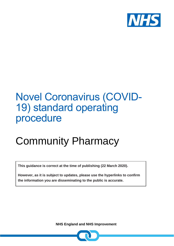

## Novel Coronavirus (COVID-19) standard operating procedure

# Community Pharmacy

**This guidance is correct at the time of publishing (22 March 2020).** 

**However, as it is subject to updates, please use the hyperlinks to confirm the information you are disseminating to the public is accurate.**

 **NHS England and NHS Improvement**

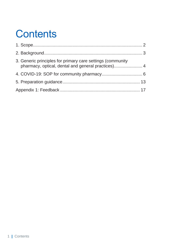## **Contents**

| 3. Generic principles for primary care settings (community<br>pharmacy, optical, dental and general practices) 4 |  |
|------------------------------------------------------------------------------------------------------------------|--|
|                                                                                                                  |  |
|                                                                                                                  |  |
|                                                                                                                  |  |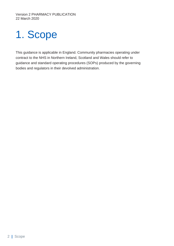# <span id="page-2-0"></span>1. Scope

This guidance is applicable in England. Community pharmacies operating under contract to the NHS in Northern Ireland, Scotland and Wales should refer to guidance and standard operating procedures (SOPs) produced by the governing bodies and regulators in their devolved administration.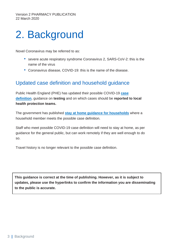## <span id="page-3-0"></span>2. Background

Novel Coronavirus may be referred to as:

- severe acute respiratory syndrome Coronavirus 2, SARS-CoV-2: this is the name of the virus
- Coronavirus disease, COVID-19: this is the name of the disease.

### Updated case definition and household guidance

Public Health England (PHE) has updated their possible COVID-19 **[case](https://www.gov.uk/government/publications/wuhan-novel-coronavirus-initial-investigation-of-possible-cases/investigation-and-initial-clinical-management-of-possible-cases-of-wuhan-novel-coronavirus-wn-cov-infection) [definition](https://www.gov.uk/government/publications/wuhan-novel-coronavirus-initial-investigation-of-possible-cases/investigation-and-initial-clinical-management-of-possible-cases-of-wuhan-novel-coronavirus-wn-cov-infection)**, guidance on **testing** and on which cases should be **reported to local health protection teams.**

The government has published **stay at home guidance for [households](https://www.gov.uk/government/publications/covid-19-stay-at-home-guidance)** where a household member meets the possible case definition.

Staff who meet possible COVID-19 case definition will need to stay at home, as per guidance for the general public, but can work remotely if they are well enough to do so.

Travel history is no longer relevant to the possible case definition.

**This guidance is correct at the time of publishing. However, as it is subject to updates, please use the hyperlinks to confirm the information you are disseminating to the public is accurate.**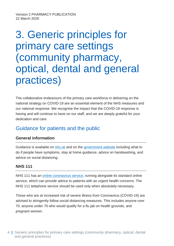## <span id="page-4-0"></span>3. Generic principles for primary care settings (community pharmacy, optical, dental and general practices)

The collaborative endeavours of the primary care workforce in delivering on the national strategy on COVID-19 are an essential element of the NHS measures and our national response. We recognise the impact that the COVID-19 response is having and will continue to have on our staff, and we are deeply grateful for your dedication and care.

## Guidance for patients and the public

### **General information**

Guidance is available on [nhs.uk](https://www.nhs.uk/conditions/coronavirus-covid-19/) and on the [government](https://www.gov.uk/government/publications/covid-19-stay-at-home-guidance/stay-at-home-guidance-for-households-with-possible-coronavirus-covid-19-infection) website including what to do if people have symptoms, stay at home guidance, advice on handwashing, and advice on social distancing.

### **NHS 111**

NHS 111 has an online [coronavirus](https://111.nhs.uk/PWCorona/bb58ceb0-ee5d-4055-a103-f3c2c9439317/COVID-19/about) service, running alongside its standard online service, which can provide advice to patients with an urgent health concerns. The NHS 111 telephone service should be used only when absolutely necessary.

Those who are at increased risk of severe illness from Coronavirus (COVID-19) are advised to stringently follow social distancing measures. This includes anyone over 70, anyone under 70 who would qualify for a flu jab on health grounds, and pregnant women.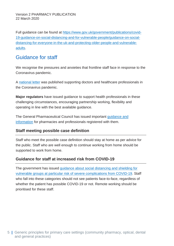Full guidance can be found at [https://www.gov.uk/government/publications/covid-](https://www.gov.uk/government/publications/covid-19-guidance-on-social-distancing-and-for-vulnerable-people/guidance-on-social-distancing-for-everyone-in-the-uk-and-protecting-older-people-and-vulnerable-adults)[19-guidance-on-social-distancing-and-for-vulnerable-people/guidance-on-social](https://www.gov.uk/government/publications/covid-19-guidance-on-social-distancing-and-for-vulnerable-people/guidance-on-social-distancing-for-everyone-in-the-uk-and-protecting-older-people-and-vulnerable-adults)[distancing-for-everyone-in-the-uk-and-protecting-older-people-and-vulnerable](https://www.gov.uk/government/publications/covid-19-guidance-on-social-distancing-and-for-vulnerable-people/guidance-on-social-distancing-for-everyone-in-the-uk-and-protecting-older-people-and-vulnerable-adults)[adults.](https://www.gov.uk/government/publications/covid-19-guidance-on-social-distancing-and-for-vulnerable-people/guidance-on-social-distancing-for-everyone-in-the-uk-and-protecting-older-people-and-vulnerable-adults)

### Guidance for staff

We recognise the pressures and anxieties that frontline staff face in response to the Coronavirus pandemic.

A [national](https://www.england.nhs.uk/coronavirus/wp-content/uploads/sites/52/2020/03/supporting-doctors-covid-19-letter-11-march-2020.pdf) letter was published supporting doctors and healthcare professionals in the Coronavirus pandemic.

**Major regulators** have issued guidance to support health professionals in these challenging circumstances, encouraging partnership working, flexibility and operating in line with the best available guidance.

The General Pharmaceutical Council has issued important [guidance](https://www.pharmacyregulation.org/contact-us/coronavirus-latest-updates) and [information](https://www.pharmacyregulation.org/contact-us/coronavirus-latest-updates) for pharmacies and professionals registered with them.

#### **Staff meeting possible case definition**

Staff who meet the possible case definition should stay at home as per advice for the public. Staff who are well enough to continue working from home should be supported to work from home.

### **Guidance for staff at increased risk from COVID-19**

The government has issued guidance about social [distancing](https://www.gov.uk/government/publications/covid-19-guidance-on-social-distancing-and-for-vulnerable-people/guidance-on-social-distancing-for-everyone-in-the-uk-and-protecting-older-people-and-vulnerable-adults) and shielding for vulnerable groups at particular risk of severe [complications](https://www.gov.uk/government/publications/covid-19-guidance-on-social-distancing-and-for-vulnerable-people/guidance-on-social-distancing-for-everyone-in-the-uk-and-protecting-older-people-and-vulnerable-adults) from COVID-19. Staff who fall into these categories should not see patients face-to-face, regardless of whether the patient has possible COVID-19 or not. Remote working should be prioritised for these staff.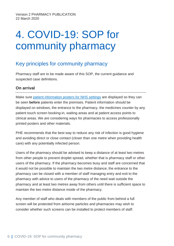## <span id="page-6-0"></span>4. COVID-19: SOP for community pharmacy

### Key principles for community pharmacy

Pharmacy staff are to be made aware of this SOP, the current guidance and suspected case definitions.

#### **On arrival**

Make sure patient [information](https://campaignresources.phe.gov.uk/resources/campaigns/101-coronavirus-/resources/) posters for NHS settings are displayed so they can be seen **before** patients enter the premises. Patient information should be displayed on windows, the entrance to the pharmacy, the medicines counter by any patient touch screen booking-in, waiting areas and at patient access points to clinical areas. We are considering ways for pharmacies to access professionally printed posters and other materials.

PHE recommends that the best way to reduce any risk of infection is good hygiene and avoiding direct or close contact (closer than one metre when providing health care) with any potentially infected person.

Users of the pharmacy should be advised to keep a distance of at least two metres from other people to prevent droplet spread, whether that is pharmacy staff or other users of the pharmacy. If the pharmacy becomes busy and staff are concerned that it would not be possible to maintain the two metre distance; the entrance to the pharmacy can be closed with a member of staff managing entry and exit to the pharmacy with advice to users of the pharmacy of the need wait outside the pharmacy and at least two metres away from others until there is sufficient space to maintain the two metre distance inside of the pharmacy.

Any member of staff who deals with members of the public from behind a full screen will be protected from airborne particles and pharmacies may wish to consider whether such screens can be installed to protect members of staff.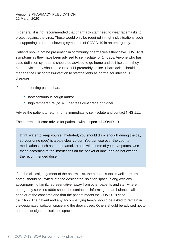In general, it is not recommended that pharmacy staff need to wear facemasks to protect against the virus. These would only be required in high risk situations such as supporting a person showing symptoms of COVID-19 in an emergency.

Patients should not be presenting in community pharmacies if they have COVID-19 symptoms as they have been advised to self-isolate for 14 days. Anyone who has case definition symptoms should be advised to go home and self-isolate. If they need advice, they should use NHS 111 preferably online. Pharmacies should manage the risk of cross-infection to staff/patients as normal for infectious diseases.

If the presenting patient has:

- new continuous cough and/or
- high temperature (of 37.8 degrees centigrade or higher)

Advise the patient to return home immediately, self-isolate and contact NHS 111.

The current self-care advice for patients with suspected COVID-19 is:

Drink water to keep yourself hydrated; you should drink enough during the day so your urine (pee) is a pale clear colour. You can use over-the-counter medications, such as paracetamol, to help with some of your symptoms. Use these according to the instructions on the packet or label and do not exceed the recommended dose.

If, in the clinical judgement of the pharmacist, the person is too unwell to return home, should be invited into the designated isolation space, along with any accompanying family/representative, away from other patients and staff where emergency services (999) should be contacted, informing the ambulance call handler of the concerns and that the patient meets the COVID-19 case definition. The patient and any accompanying family should be asked to remain in the designated isolation space and the door closed. Others should be advised not to enter the designated isolation space.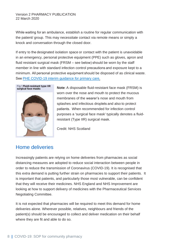While waiting for an ambulance, establish a routine for regular communication with the patient/ group. This may necessitate contact via remote means or simply a knock and conversation through the closed door.

If entry to the designated isolation space or contact with the patient is unavoidable in an emergency, personal protective equipment (PPE) such as gloves, apron and fluid resistant surgical mask (FRSM – see below) should be worn by the staff member in line with standard infection control precautions and exposure kept to a minimum. All personal protective equipment should be disposed of as clinical waste. See PHE [COVID-19](https://www.gov.uk/government/publications/wn-cov-guidance-for-primary-care/wn-cov-interim-guidance-for-primary-care) interim guidance for primary care.



**Note**: A disposable fluid-resistant face mask (FRSM) is worn over the nose and mouth to protect the mucous membranes of the wearer's nose and mouth from splashes and infectious droplets and also to protect patients.  When recommended for infection control purposes a 'surgical face mask' typically denotes a fluidresistant (Type IIR) surgical mask. 

Credit: NHS Scotland

### Home deliveries

Increasingly patients are relying on home deliveries from pharmacies as social distancing measures are adopted to reduce social interaction between people in order to reduce the transmission of Coronavirus (COVID-19). It is recognised that this extra demand is putting further strain on pharmacies to support their patients. It is important that patients, and particularly those most vulnerable, can be confident that they will receive their medicines. NHS England and NHS Improvement are looking at how to support delivery of medicines with the Pharmaceutical Services Negotiating Committee.

It is not expected that pharmacies will be required to meet this demand for home deliveries alone. Wherever possible, relatives, neighbours and friends of the patient(s) should be encouraged to collect and deliver medication on their behalf where they are fit and able to do so.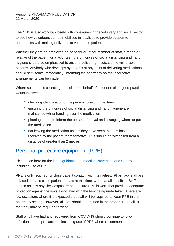The NHS is also working closely with colleagues in the voluntary and social sector to see how volunteers can be mobilised in localities to provide support to pharmacies with making deliveries to vulnerable patients.

Whether they are an employed delivery driver, other member of staff, a friend or relative of the patient, or a volunteer, the principles of social [distancing](https://www.gov.uk/government/publications/covid-19-guidance-on-social-distancing-and-for-vulnerable-people/guidance-on-social-distancing-for-everyone-in-the-uk-and-protecting-older-people-and-vulnerable-adults) and [hand](https://www.nhs.uk/live-well/healthy-body/best-way-to-wash-your-hands/) [hygiene](https://www.nhs.uk/live-well/healthy-body/best-way-to-wash-your-hands/) should be emphasised to anyone delivering medication to vulnerable patients. Anybody who develops symptoms at any point of delivering medications should self-isolate immediately, informing the pharmacy so that alternative arrangements can be made.

Where someone is collecting medicines on behalf of someone else, good practice would involve:

- checking identification of the person collecting the items
- ensuring the principles of social distancing and hand hygiene are maintained whilst handing over the medication
- phoning ahead to inform the person of arrival and arranging where to put the medication
- not leaving the medication unless they have seen that this has been received by the patient/representative. This should be witnessed from a distance of greater than 2 metres.

## Personal protective equipment (PPE)

Please see [here](https://www.gov.uk/government/publications/wuhan-novel-coronavirus-infection-prevention-and-control) for the latest guidance on Infection [Prevention](https://www.gov.uk/government/publications/wuhan-novel-coronavirus-infection-prevention-and-control) and Control including use of PPE.

PPE is only required for close patient contact, within 2 metres. Pharmacy staff are advised to avoid close patient contact at this time, where at all possible. Staff should assess any likely exposure and ensure PPE is worn that provides adequate protection against the risks associated with the task being undertaken. There are few occasions where it is expected that staff will be required to wear PPE in the pharmacy setting. However, all staff should be trained in the proper use of all PPE that they may be required to wear.

Staff who have had and recovered from COVID-19 should continue to follow infection control precautions, including use of PPE where recommended.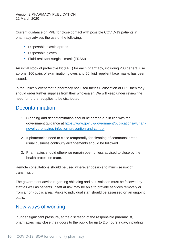Current guidance on PPE for close contact with possible COVID-19 patients in pharmacy advises the use of the following:

- Disposable plastic aprons
- Disposable gloves
- Fluid-resistant surgical mask (FRSM)

An initial stock of protective kit (PPE) for each pharmacy, including 200 general use aprons, 100 pairs of examination gloves and 50 fluid repellent face masks has been issued.

In the unlikely event that a pharmacy has used their full allocation of PPE then they should order further supplies from their wholesaler. We will keep under review the need for further supplies to be distributed.

## **Decontamination**

- 1. Cleaning and decontamination should be carried out in line with the government guidance at [https://www.gov.uk/government/publications/wuhan](https://www.gov.uk/government/publications/wuhan-novel-coronavirus-infection-prevention-and-control)[novel-coronavirus-infection-prevention-and-control.](https://www.gov.uk/government/publications/wuhan-novel-coronavirus-infection-prevention-and-control)
- 2. If pharmacies need to close temporarily for cleaning of communal areas, usual business continuity arrangements should be followed.
- 3. Pharmacies should otherwise remain open unless advised to close by the health protection team.

Remote consultations should be used wherever possible to minimise risk of transmission.

The government advice regarding shielding and self-isolation must be followed by staff as well as patients. Staff at risk may be able to provide services remotely or from a non- public area. Risks to individual staff should be assessed on an ongoing basis.

### New ways of working

If under significant pressure, at the discretion of the responsible pharmacist, pharmacies may close their doors to the public for up to 2.5 hours a day, including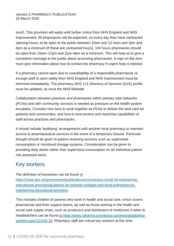lunch. This provision will apply until further notice from NHS England and NHS Improvement. All pharmacies will be expected, on every day they have contracted opening hours, to be open to the public between 10am and 12 noon and 2pm and 4pm as a minimum (if these are contracted hours). 100 hours pharmacies should be open from 10am–12pm and 2pm–6pm as a minimum. This will help us to give a consistent message to the public about accessing pharmacies. A sign on the door must give information about how to contact the pharmacy if urgent help is needed.

If a pharmacy cannot open due to unavailability of a responsible pharmacist, or enough staff to open safely then NHS England and NHS Improvement must be informed immediately. The pharmacy NHS 111 Directory of Services (DoS) profile must be updated, as must the NHS Website.

Collaboration between practices and pharmacies within primary care networks (PCNs) and with community services is needed as pressure on the health system escalates. Consider how best to work together as PCNs to deliver the best care for patients and communities, and how to best protect and maximise capabilities of staff across practices and pharmacies.

It should include 'buddying' arrangements with another local pharmacy to maintain access to pharmaceutical services in the event of a temporary closure. Particular thought should be given to patient receiving services such as supervised consumption or monitored dosage systems. Consideration can be given to providing daily doses rather than supervised consumption on an individual patient risk assessed basis.

### Key workers

The definition of keyworker can be found [at](https://www.gov.uk/government/publications/coronavirus-covid-19-maintaining-educational-provision/guidance-for-schools-colleges-and-local-authorities-on-maintaining-educational-provision) [https://www.gov.uk/government/publications/coronavirus-covid-19-maintaining](https://www.gov.uk/government/publications/coronavirus-covid-19-maintaining-educational-provision/guidance-for-schools-colleges-and-local-authorities-on-maintaining-educational-provision)[educational-provision/guidance-for-schools-colleges-and-local-authorities-on](https://www.gov.uk/government/publications/coronavirus-covid-19-maintaining-educational-provision/guidance-for-schools-colleges-and-local-authorities-on-maintaining-educational-provision)[maintaining-educational-provision.](https://www.gov.uk/government/publications/coronavirus-covid-19-maintaining-educational-provision/guidance-for-schools-colleges-and-local-authorities-on-maintaining-educational-provision)

This includes children of parents who work in health and social care, which covers pharmacists and their support teams, as well as those working in the health and social care supply chain, such as producers and distributers of medicines A letter to headteachers can be found [at](https://www.rpharms.com/about-us/news/details/Key-workers-and-COVID-19) [https://www.rpharms.com/about-us/news/details/Key](https://www.rpharms.com/about-us/news/details/Key-workers-and-COVID-19)[workers-and-COVID-19.](https://www.rpharms.com/about-us/news/details/Key-workers-and-COVID-19) Pharmacy staff are critical key workers at this time.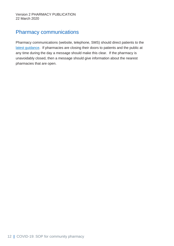## Pharmacy communications

Pharmacy communications (website, telephone, SMS) should direct patients to the latest [guidance.](http://www.nhs.uk/conditions/coronavirus-covid-19/) If pharmacies are closing their doors to patients and the public at any time during the day a message should make this clear. If the pharmacy is unavoidably closed, then a message should give information about the nearest pharmacies that are open.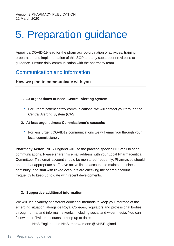## <span id="page-13-0"></span>5. Preparation guidance

Appoint a COVID-19 lead for the pharmacy co-ordination of activities, training, preparation and implementation of this SOP and any subsequent revisions to guidance. Ensure daily communication with the pharmacy team.

### Communication and information

#### **How we plan to communicate with you**

- **1. At urgent times of need: Central Alerting System:**
	- For urgent patient safety communications, we will contact you through the Central Alerting System (CAS).
- **2. At less urgent times: Commissioner's cascade:**
	- For less urgent COVID19 communications we will email you through your local commissioner.

**Pharmacy Action:** NHS England will use the practice-specific NHSmail to send communications. Please share this email address with your Local Pharmaceutical Committee. This email account should be monitored frequently. Pharmacies should ensure that appropriate staff have active linked accounts to maintain business continuity; and staff with linked accounts are checking the shared account frequently to keep up to date with recent developments.

#### **3. Supportive additional information:**

We will use a variety of different additional methods to keep you informed of the emerging situation, alongside Royal Colleges, regulators and professional bodies, through formal and informal networks, including social and wider media. You can follow these Twitter accounts to keep up to date:

– NHS England and NHS Improvement: @NHSEngland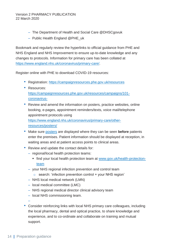- The Department of Health and Social Care @DHSCgovuk
- Public Health England @PHE\_uk

Bookmark and regularly review the hyperlinks to official guidance from PHE and NHS England and NHS Improvement to ensure up-to-date knowledge and any changes to protocols. Information for primary care has been collated at [https://www.england.nhs.uk/coronavirus/primary-care/.](https://www.england.nhs.uk/coronavirus/primary-care/)

Register online with PHE to download COVID-19 resources:

- Registration: <https://campaignresources.phe.gov.uk/resources>
- Resources: [https://campaignresources.phe.gov.uk/resources/campaigns/101](https://campaignresources.phe.gov.uk/resources/campaigns/101-coronavirus-) [coronavirus-](https://campaignresources.phe.gov.uk/resources/campaigns/101-coronavirus-)
- Review and amend the information on posters, practice websites, online booking, e-pages, appointment reminders/texts, voice mail/telephone appointment protocols using [https://www.england.nhs.uk/coronavirus/primary-care/other](https://www.england.nhs.uk/coronavirus/primary-care/other-resources/posters/)[resources/posters/](https://www.england.nhs.uk/coronavirus/primary-care/other-resources/posters/)
- Make sure [posters](https://campaignresources.phe.gov.uk/resources/campaigns/101/resources/5015) are displayed where they can be seen **before** patients enter the premises. Patient information should be displayed at reception, in waiting areas and at patient access points to clinical areas.
- Review and update the contact details for:
	- regional/local health protection teams:
		- find your local health protection team at [www.gov.uk/health-protection](https://www.gov.uk/health-protection-team)[team](https://www.gov.uk/health-protection-team)
	- your NHS regional infection prevention and control team
		- $\circ$  search: 'infection prevention control + your NHS region'
	- NHS local medical network (LMN)
	- local medical committee (LMC)
	- NHS regional medical director clinical advisory team
	- local NHS commissioning team.

–

• Consider reinforcing links with local NHS primary care colleagues, including the local pharmacy, dental and optical practice, to share knowledge and experience, and to co-ordinate and collaborate on training and mutual support.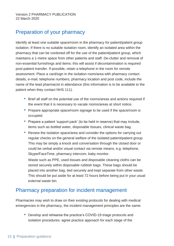## Preparation of your pharmacy

Identify at least one suitable space/room in the pharmacy for patient/patient group isolation. If there is no suitable isolation room, identify an isolated area within the pharmacy that can be cordoned off for the use of the patient/patient group, which maintains a 1-metre space from other patients and staff. De-clutter and removal of non-essential furnishings and items: this will assist if decontamination is required post-patient transfer. If possible, retain a telephone in the room for remote assessment. Place a card/sign in the isolation room/area with pharmacy contact details, e-mail, telephone numbers, pharmacy location and post code, include the name of the lead pharmacist in attendance (this information is to be available to the patient when they contact NHS 111).

- Brief all staff on the potential use of the rooms/areas and actions required if the event that it is necessary to vacate rooms/areas at short notice.
- Prepare appropriate space/room signage to be used if the space/room is occupied.
- Prepare a patient 'support pack' (to be held in reserve) that may include, items such as bottled water, disposable tissues, clinical waste bag.
- Review the isolation space/area and consider the options for carrying out regular checks on the general welfare of the isolated patient/patient group. This may be simply a knock and conversation through the closed door or could be verbal and/or visual contact via remote means, e.g. telephone, Skype/FaceTime, pharmacy intercom, baby monitor.

Waste such as PPE, used tissues and disposable cleaning cloths can be stored securely within disposable rubbish bags. These bags should be placed into another bag, tied securely and kept separate from other waste. This should be put aside for at least 72 hours before being put in your usual external waste bin.

### Pharmacy preparation for incident management

Pharmacies may wish to draw on their existing protocols for dealing with medical emergencies in the pharmacy, the incident management principles are the same:

• Develop and rehearse the practice's COVID-19 triage protocols and isolation procedures: agree practice approach for each stage of the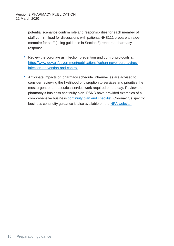potential scenarios confirm role and responsibilities for each member of staff confirm lead for discussions with patients/NHS111 prepare an aidememoire for staff (using guidance in Section 3) rehearse pharmacy response.

- Review the coronavirus infection prevention and control protocols at [https://www.gov.uk/government/publications/wuhan-novel-coronavirus](https://www.gov.uk/government/publications/wuhan-novel-coronavirus-infection-prevention-and-control)[infection-prevention-and-control.](https://www.gov.uk/government/publications/wuhan-novel-coronavirus-infection-prevention-and-control)
- Anticipate impacts on pharmacy schedule. Pharmacies are advised to consider reviewing the likelihood of disruption to services and prioritise the most urgent pharmaceutical service work required on the day. Review the pharmacy's business continuity plan. PSNC have provided examples of a comprehensive business [continuity plan and checklist.](https://psnc.org.uk/contract-it/essential-service-clinical-governance/emergency-planning/) Coronavirus specific business continuity guidance is also available on the [NPA website.](https://www.npa.co.uk/)